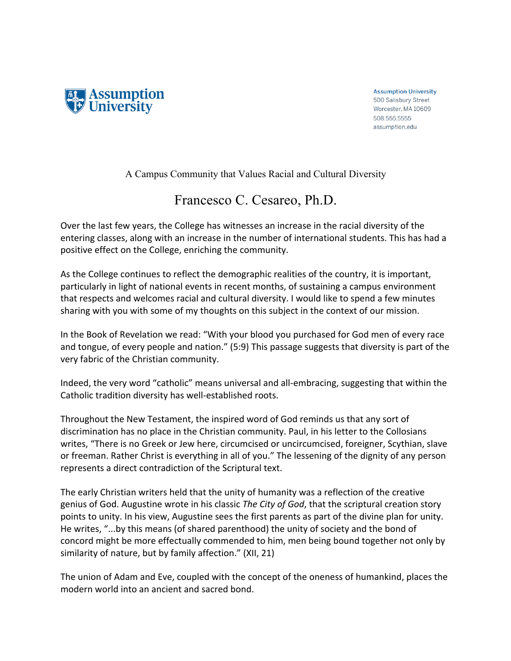

**Assumption University** 500 Salisbury Street Worcester, MA 10609 508.555.5555 assumption.edu

A Campus Community that Values Racial and Cultural Diversity

## Francesco C. Cesareo, Ph.D.

Over the last few years, the College has witnesses an increase in the racial diversity of the entering classes, along with an increase in the number of international students. This has had a positive effect on the College, enriching the community.

As the College continues to reflect the demographic realities of the country, it is important, particularly in light of national events in recent months, of sustaining a campus environment that respects and welcomes racial and cultural diversity. I would like to spend a few minutes sharing with you with some of my thoughts on this subject in the context of our mission.

In the Book of Revelation we read: "With your blood you purchased for God men of every race and tongue, of every people and nation." (5:9) This passage suggests that diversity is part of the very fabric of the Christian community.

Indeed, the very word "catholic" means universal and all-embracing, suggesting that within the Catholic tradition diversity has well-established roots.

Throughout the New Testament, the inspired word of God reminds us that any sort of discrimination has no place in the Christian community. Paul, in his letter to the Collosians writes, "There is no Greek or Jew here, circumcised or uncircumcised, foreigner, Scythian, slave or freeman. Rather Christ is everything in all of you." The lessening of the dignity of any person represents a direct contradiction of the Scriptural text.

The early Christian writers held that the unity of humanity was a reflection of the creative genius of God. Augustine wrote in his classic *The City of God*, that the scriptural creation story points to unity. In his view, Augustine sees the first parents as part of the divine plan for unity. He writes, "...by this means (of shared parenthood) the unity of society and the bond of concord might be more effectually commended to him, men being bound together not only by similarity of nature, but by family affection." (XII, 21)

The union of Adam and Eve, coupled with the concept of the oneness of humankind, places the modern world into an ancient and sacred bond.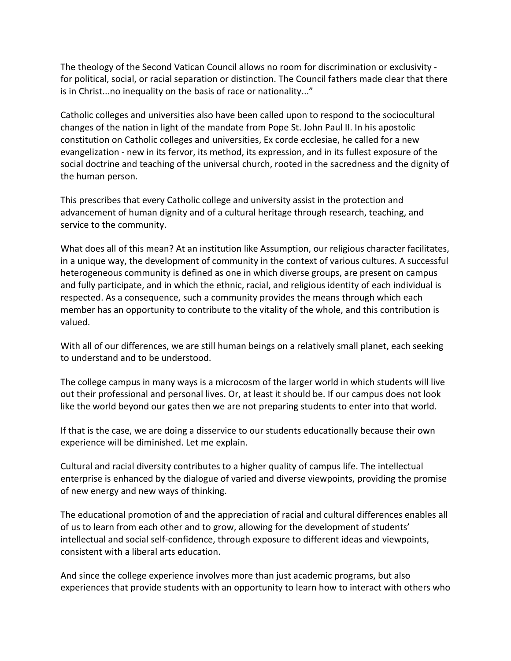The theology of the Second Vatican Council allows no room for discrimination or exclusivity for political, social, or racial separation or distinction. The Council fathers made clear that there is in Christ...no inequality on the basis of race or nationality..."

Catholic colleges and universities also have been called upon to respond to the sociocultural changes of the nation in light of the mandate from Pope St. John Paul II. In his apostolic constitution on Catholic colleges and universities, Ex corde ecclesiae, he called for a new evangelization - new in its fervor, its method, its expression, and in its fullest exposure of the social doctrine and teaching of the universal church, rooted in the sacredness and the dignity of the human person.

This prescribes that every Catholic college and university assist in the protection and advancement of human dignity and of a cultural heritage through research, teaching, and service to the community.

What does all of this mean? At an institution like Assumption, our religious character facilitates, in a unique way, the development of community in the context of various cultures. A successful heterogeneous community is defined as one in which diverse groups, are present on campus and fully participate, and in which the ethnic, racial, and religious identity of each individual is respected. As a consequence, such a community provides the means through which each member has an opportunity to contribute to the vitality of the whole, and this contribution is valued. 

With all of our differences, we are still human beings on a relatively small planet, each seeking to understand and to be understood.

The college campus in many ways is a microcosm of the larger world in which students will live out their professional and personal lives. Or, at least it should be. If our campus does not look like the world beyond our gates then we are not preparing students to enter into that world.

If that is the case, we are doing a disservice to our students educationally because their own experience will be diminished. Let me explain.

Cultural and racial diversity contributes to a higher quality of campus life. The intellectual enterprise is enhanced by the dialogue of varied and diverse viewpoints, providing the promise of new energy and new ways of thinking.

The educational promotion of and the appreciation of racial and cultural differences enables all of us to learn from each other and to grow, allowing for the development of students' intellectual and social self-confidence, through exposure to different ideas and viewpoints, consistent with a liberal arts education.

And since the college experience involves more than just academic programs, but also experiences that provide students with an opportunity to learn how to interact with others who